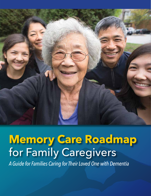

# **Memory Care Roadmap**  for Family Caregivers

*A Guide for Families Caring for Their Loved One with Dementia*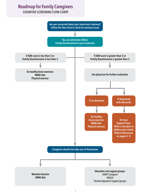## **Roadmap for Family Caregivers**

## COGNITIVE SCREENING FLOW CHART

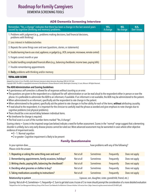## **Roadmap for Family Caregivers** DEMENTIA SCREENING TOOLS

#### **AD8 Dementia Screening Interview**

| Remember, "Yes, a change" indicates that there has been a change in the last several years<br>caused by cognitive (thinking and memory) problems. | YES,<br>A change | NO,<br>No change | N/A<br>Don't know |
|---------------------------------------------------------------------------------------------------------------------------------------------------|------------------|------------------|-------------------|
| 1. Problems with judgment (e.g., problems making decisions, bad financial decisions,<br>problems with thinking)                                   |                  |                  |                   |
| 2. Less interest in hobbies/activities                                                                                                            |                  |                  |                   |
| 3. Repeats the same things over and over (questions, stories, or statements)                                                                      |                  |                  |                   |
| 4. Trouble learning how to use a tool, appliance, or gadget (e.g., VCR, computer, microwave, remote control)                                      |                  |                  |                   |
| 5. Forgets correct month or year                                                                                                                  |                  |                  |                   |
| 6. Trouble handling complicated financial affairs (e.g., balancing checkbook, income taxes, paying bills)                                         |                  |                  |                   |
| 7. Trouble remembering appointments                                                                                                               |                  |                  |                   |
| 8. Daily problems with thinking and/or memory                                                                                                     |                  |                  |                   |
| <b>TOTAL AD8 SCORE</b>                                                                                                                            |                  |                  |                   |

Adapted from Galvin JE et al, The AD8, a brief informant interview to detect dementia, Neurology 2005:65:559-564.

Copyright 2005. The AD8 is a copyrighted instrument of the Alzheimer's Disease Research Center, Washington University, St. Louis, Missouri. All Rights Reserved.

#### **The AD8 Administration and Scoring Guidelines**

- *A spontaneous self-correction is allowed for all responses without counting as an error.*
- The questions are given to the respondent on a clipboard for self–administration or can be read aloud to the respondent either in person or over the phone. It is preferable to administer the AD8 to an informant, if available. If an informant is not available, the AD8 may be administered to the patient.
- When administered to an informant, specifically ask the respondent to rate change in the patient.
- When administered to the patient, specifically ask the patient to rate changes in his/her ability for each of the items, **without** attributing causality.
- If read aloud to the respondent, it is important for the clinician to carefully read the phrase as worded and give emphasis to note changes due to cognitive problems (not physical problems).
- There should be a one second delay between individual items.
- No timeframe for change is required.
- The final score is a sum of the number items marked "Yes, A change".

Scoring criteria = Scores in the impaired range (see below) indicate a need for further assessment. Scores in the "normal" range suggest that a dementing disorder is unlikely, but a very early disease process cannot be ruled out. More advanced assessment may be warranted in cases where other objective evidence of impairment exists.

- 0 1: Normal cognition
- 2 or greater: Cognitive impairment is likely to be present

#### **Family Questionnaire**

| In your opinion does                                      |            |                  | have problems with any of the following? |                |  |
|-----------------------------------------------------------|------------|------------------|------------------------------------------|----------------|--|
| Please circle the answer.                                 |            |                  |                                          |                |  |
| 1. Repeating or asking the same thing over and over?      | Not at all | <b>Sometimes</b> | Frequently                               | Does not apply |  |
| 2. Remembering appointments, family occasions, holidays?  | Not at all | Sometimes        | Frequently                               | Does not apply |  |
| 3. Writing checks, paying bills, balancing the checkbook? | Not at all | Sometimes        | Frequently                               | Does not apply |  |
| 4. Deciding what groceries or clothes to buy?             | Not at all | Sometimes        | Frequently                               | Does not apply |  |
| 5. Taking medications according to instructions?          | Not at all | <b>Sometimes</b> | Frequently                               | Does not apply |  |
| .                                                         |            |                  | $11111$ $111$                            |                |  |

Relationship to patient \_\_\_\_\_\_\_\_\_\_\_\_\_\_\_\_\_\_\_\_\_\_\_\_\_\_\_\_\_\_\_\_\_\_\_\_ (spouse, son, daughter, sister, grandchild, friend, etc.)

*Scoring:* Not at all=0, Sometimes=1, Frequently=2. Sum to get total score. A score of 3 or more should prompt the consideration of a more detailed evaluation \*Adapted from the Care Management Advisory Group of the Chronic Care Networks For Alzheimer's Disease Initiative. Full version from: (https://www.alz.org/documents/national/CCN-AD03.pdf)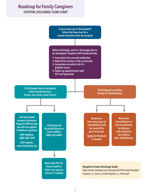## **Roadmap for Family Caregivers**

## HOSPITAL DISCHARGE FLOW CHART

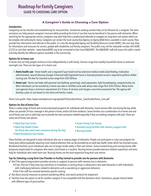## **Roadmap for Family Caregivers** GUIDE TO CHOOSING CARE OPTION

#### **A Caregiver's Guide in Choosing a Care Option**

#### **Introduction**

**No** for information and resources for seniors, people with disabilities and family caregivers. The public may call the statewide number 643-ADRC Caregiving can be stressful and overwhelming for many families. Sometimes seeking outside help can be lifesaver for a caregiver. The extra assistance can help prevent caregiver's burnout while providing the kind of care that may be beneficial to the person with dementia. When searching for the appropriate service, caregivers may want help from a professional advocate to navigate our long-term care system which can be complex and confusing for many. Caregivers can contact the local county Area Agency on Aging (AAA) that is available in each county. They provide free information and referrals to the public. It is also the designated Aging and Disability Resource Center (ADRC), the one stop shop (2372) or visit their website – www.HawaiiADRC.org to be connected to their local AAA/ADRC. The AAA/ADRC staff will assess the caller's needs and help identify the different options available in the community.

#### **Options for In-home care**

In-home care can help people continue to live independently or with family. Services range from weekly household chores to extensive overnight care. There are two types of in-home care:

- 1. **Home health care** Home health care is required if your loved one has extensive medical needs (tube-feeding, medication administration, wound dressing change). A licensed staff (registered nurse or licensed practical nurse) is required to perform skilled nursing care. The fees for Licensed nurses range from \$30-50/hour.
- 2. **Home care** Home care helps with personal care (bathing, grooming), meal preparation, light housekeeping, companionship, etc. Most individuals can be assisted by a home care aide or certified nurse aide whose rates range from \$20-25/hour. Many home care agencies have a minimum requirement of 2-4 hour of services and charges a one-time assessment fee. The agency will develop a plan of care based on the client and family's needs.

Home Care guide: https://www.nextstepincare.org/uploads/File/Guides/Home\_Care/Guide/Home\_Care.pdf

#### **Options for Out-of-home Care**

There is a wide range of home and community-based programs for individuals with dementia. Some services offer care during the day, while others can provide 24-hour coverage in the person's home, and/or full-time residence. Some families use a combination of in-home care and out-of-home care such as adult day care to provide the extra assistance needed especially if they are working caregivers with jobs. These are some out-of-home care options:

- Adult Day Care Center Foster Family Care Homes
- Adult Day Health Center Assisted Living facilities with memory support units (for those who need more assistance during the day) • Nursing Homes
	-
	-
- 

• Adult Residential Care Homes

These facilities are designed to help individuals who are in varying stages of dementia. People can participate in a day care program for many years before gradually requiring more medical attention that can be provided by an adult day health center which has licensed nurses. Residential facilities assist individuals who can no longer reside safely in their own homes. Some assisted living and nursing homes offer temporary respite beds for caregivers who need a short break or a vacation. Nursing homes provide extensive medical supervision and extra help for individuals who need more care. Nursing homes are the most expensive long-term care service.

#### **Tips for Selecting a Long-Term Care Provider or Facility trained to provide care for persons with Dementia**

 $\measuredangle$  Ask if the agency/organization provides services or supports to persons with memory loss or dementia

- If yes, find out if they have any restrictions or limitations in serving those in advanced or late state dementia or with individuals with challenging behaviors related to dementia such as wandering or aggressive behaviors.
- Ask if the staff has received dementia-specific training
- $\checkmark$  Ask about security measures to prevent wandering offsite, and search protocol for elopement
- $\checkmark$  Families have the option to ask for another caregiver if not compatible with the dementia client. Sometimes, people interact better with different types of personalities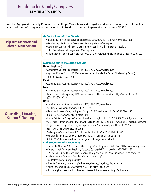## **Roadmap for Family Caregivers** DEMENTIA RESOURCES

Visit the Aging and Disability Resource Center (https://www.hawaiiadrc.org) for additional resources and information. *Note:* Inclusion of an agency/organization in this Roadmap does not imply endorsement by HADSSP

|                                | <b>Refer to Specialist as Needed</b>                                                                                                    |
|--------------------------------|-----------------------------------------------------------------------------------------------------------------------------------------|
|                                | • Neurologist (dementia focus, if possible) https://www.hawaiiadrc.org/site/459/hadssp.aspx                                             |
| <b>Help with Diagnosis and</b> | • Geriatric Psychiatrist, https://www.hawaiiadrc.org/site/459/hadssp.aspx                                                               |
| <b>Behavior Management</b>     | • Geriatrician (A doctor who specializes in treating conditions that affect older adults),                                              |
|                                | https://www.hawaiiadrc.org/site/459/hadssp.aspx                                                                                         |
|                                | • Information on stages & behaviors, https://www.alz.org/care/alzheimers-dementia-stages-behaviors.asp                                  |
|                                |                                                                                                                                         |
|                                | <b>Link to Caregivers Support Groups</b><br>Hawaii (Big Island)                                                                         |
|                                | • Alzheimer's Association Support Group, (800) 272-3900, www.alz.org/crf                                                                |
|                                | . Big Island Stroke Club, 1190 Waianuenue Avenue, Hilo Medical Center (The Learning Center),<br>Hilo 96720, (808) 932-3045              |
|                                | Kauai                                                                                                                                   |
|                                | • Alzheimer's Association Support Group, (800) 272-3900, www.alz.org/crf                                                                |
|                                | Maui                                                                                                                                    |
|                                | • Alzheimer's Association Support Group, (800) 272-3900, www.alz.org/crf                                                                |
|                                | · Powerful Tools for Caregivers (UH Manoa Extension), 310 Ka'ahumanu Ave., Bldg. 214, Kahului 96732,<br>(808) 244-3242 x226             |
|                                | Oahu                                                                                                                                    |
|                                | • Alzheimer's Association Support Group, (800) 272-3900, www.alz.org/crf                                                                |
|                                | • Castle Caregiver Support Group, (808) 263-5400                                                                                        |
| <b>Counseling, Education,</b>  | · Hale Hauoli Hawaii-Caregiver Support Group, 98-1247 Kaahumanu St., Suite 207, Aiea 96701,<br>(808) 292-4665, www.halehauolihawaii.org |
| <b>Support &amp; Planning</b>  | • Kokua Kalihi Valley Caregiver Support, 1846 Gulick Ave., Honolulu 96819, (808) 791-4900, www.kkv.net                                  |
|                                | • Caregivers Foundation Support Group, Various Locations, (808) 625-3782, www.thecaregiverfoundation.org                                |
|                                | • Project Dana, Caring for the Caregiver Support Group, 902 University Ave., Honolulu 96826,<br>(808) 945-3736, www.projectdana.org     |
|                                | · VA Caregivers Support Group, 459 Patterson Rd., Honolulu 96819, (808) 433-7646                                                        |
|                                | · Windward Seniors Day Care-CG Support Group, 77 N. Kainalu Dr., Kailua 96734,                                                          |
|                                | (808) 261-4947, www.windwardseniordaycarecenter.org/resources.html                                                                      |
|                                | <b>Link to Community Resources</b>                                                                                                      |
|                                | • Contact the Alzheimer's Association - Aloha Chapter 24/7 Helpline at 1-800-272-3900 or www.alz.org/hawaii                             |
|                                | • Contact Hawaii Aging and Disability Resource Center (ADRC)* statewide at 643-ADRC (2372)                                              |
|                                | TTY line: 643-0889. Or, go to www.HawaiiADRC.org and click on "Professionals & Service Providers"                                       |
|                                | • Alzheimer's and Dementia Caregiver Center, www.alz.org/care/                                                                          |
|                                | • TrialMatch®, www.alz.org/trialmatch                                                                                                   |
|                                |                                                                                                                                         |
|                                | · Life After Diagnosis, www.alz.org/alzheimers_disease_life_after_diagnosis.asp                                                         |

- Taking Action Workbook, www.actonalz.org/pdf/Taking-Action.pdf
- NIH Caring for a Person with Alzheimer's Disease, https://www.nia.nih.gov/alzheimers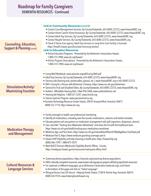|                                                                         | <b>Link to Community Resources (cont'd)</b><br>• Contact Case Management Services, By County/Statewide, 643-ADRC (2372), www.HawaiiADRC.org<br>• Contact Home Care/In Home Assistance, By County/Statewide, 643-ADRC (2372), www.HawaiiADRC.org<br>• Contact Adult Day Services, By County/Statewide, 643-ADRC (2372), www.HawaiiADRC.org                                     |  |  |
|-------------------------------------------------------------------------|-------------------------------------------------------------------------------------------------------------------------------------------------------------------------------------------------------------------------------------------------------------------------------------------------------------------------------------------------------------------------------|--|--|
| <b>Counseling, Education,</b><br><b>Support &amp; Planning (cont'd)</b> | • Contact Respite Services, By County/Statewide, 643-ADRC (2372), www.HawaiiADRC.org<br>• Check if Home Care agency, Adult Day Services or Long Term Care Facility is licensed,<br>https://health.hawaii.gov/ohca/state-licensing-section/<br><b>Link to Education Resources</b>                                                                                              |  |  |
|                                                                         | • Online Education Programs - Presented by the Alzheimer's Association-Hawaii,<br>1-800-272-3900, www.alz.org/hawaii/<br>. Online Program Descriptions - Presented by the Alzheimer's Association-Hawaii,<br>1-800-272-3900, www.alz.org/hawaii/                                                                                                                              |  |  |
|                                                                         | • Living Well Workbook, www.actonalz.org/pdf/Living-Well.pdf<br>• Adult Day Services, By County/Statewide, 643-ADRC (2372), www.HawaiiADRC.org<br>• Sensory aids (hearing aids, pocket talker, glasses, etc.), www.HawaiiADRC.org or 643-ADRC (2372)                                                                                                                          |  |  |
| Stimulation/Activity/<br><b>Maximizing Function</b>                     | • NIH's Caring for a Person with Alzheimer's Disease, https://www.nia.nih.gov/alzheimers<br>• Exercise for Frail and Disabled Elders, By County/Statewide, 643-ADRC (2372), www.HawaiiADRC.org<br>• Audient - Affordable Hearing Aids, 1-866-956-5400, www.audientalliance.net<br>• Hearing Aid Helpline, 1-800-521-5247, www.ihsinfo.org                                     |  |  |
|                                                                         | • Seniors EyeCare Program, www.eyecareamerica.org<br>· Assistive Technology Resource Center Hawaii, 200 N. Vineyard Blvd, Honolulu 96817,<br>(808) 532-7110, https://www.atrc.org                                                                                                                                                                                             |  |  |
|                                                                         | • Family oversight or health care professional monitoring<br>• Identify all medications, including over-the-counter medications, vitamins and herbal remedies<br>• Educate patient and care partner on medication management aids (pill organizers, dispensers, alarms)<br>• Use a tool like "Tracking Your Medication Worksheet" and share the list with the healthcare team |  |  |
| <b>Medication Therapy</b><br>and Management                             | https://www.nia.nih.gov/health/tracking-your-medications-worksheet<br>• Medicine, Age, and Your Brain, https://www.nia.nih.gov/sites/default/files/d7/MedAgeBrain-FactSheet.pdf<br>• Medicare Part D, https://www.medicare.gov/drug-coverage-part-d<br>• Hawaii SHIP-Eligibility and help choosing a health plan, https://hawaiiship.org                                      |  |  |
|                                                                         | (808) 586-7299, 1-888-875-9229<br>• Med-QUEST Division (Medicaid), Eligibility Branch Offices - County,<br>https://medquest.hawaii.gov/en/resources/med-quest-offices.html                                                                                                                                                                                                    |  |  |
|                                                                         | • Screening diverse populations, https://actonalz.org/screening-diverse-populations                                                                                                                                                                                                                                                                                           |  |  |
| <b>Cultural Resources &amp;</b><br><b>Language Services</b>             | • HADI culturally competent resources, www.hawaii.edu/aging/coa-projects-all/hadi-project/hadi-resources/<br>• For materials in different languages, go to Alzheimer's Association (www.alz.org), scroll down<br>to the bottom of the page and click on "Select Language".<br>· Bilingual Access Line (24-Hours) - Helping Hands Hawaii, 2100 N. Nimitz Hwy, Honolulu 96819,  |  |  |
|                                                                         | (808) 526-9724, www.helpinghandshawaii.org                                                                                                                                                                                                                                                                                                                                    |  |  |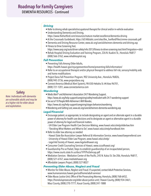#### *Driving*

- Refer to driving rehab specialist/occupational therapist for clinical and/or in-vehicle evaluation
- Understanding Dementia and Driving, https://www.thehartford.com/resources/mature-market-excellence/dementia-driving
- At the Crossroads Guidebook, https://s0.hfdstatic.com/sites/the\_hartford/files/cmme-crossroads.pdf
- Dementia and Driving Resource Center, www.alz.org/care/alzheimers-dementia-and-driving.asp
- Fitness to Drive Screening Tool, https://www.aarp.org/auto/driver-safety/info-2013/fitness-to-drive-screening-tool.html?migration=rdrct
- Rehab Hospital Driving Evaluation and Training Program, 226 N. Kuakini St., Honolulu 96817 (808) 566-3762, www.rehabhospital.org

#### *Fall Prevention*

- Preventing Falls Among Older Adults, https://health.hawaii.gov/injuryprevention/home/preventing-falls/information/
- Refer to an occupational therapist and/or physical therapist to address fall risk, sensory/mobility aids and home modifications
- Project Dana Fall Prevention Program, 902 University Ave., Honolulu 96826, (808) 945-3736, www.projectdana.org
- Connect America (Medical Alert System), 98-030-Hekaha St. #4 Aiea 96701, (808) 721-1201, www.connectamerica.com

#### *Wandering*

- Medic Alert® and Alzheimer's Association 24/7 Wandering Support, https://www.alz.org/help-support/caregiving/safety/medicalert-with-24-7-wandering-support
- Six out of 10 People With Alzheimer's Will Wander,
- https://www.alz.org/help-support/caregiving/stages-behaviors/wandering
- Wandering and Getting Lost, www.alz.org/care/alzheimers-dementia-wandering.asp

#### *Legal/Financial*

- Encourage patient, as appropriate, to include designating an agent and an alternate agent in a durable power of attorney for health care decisions and to designate an agent or alternative agent in a durable power of attorney for legal and financial matters.
	- UH Elder Law Program Health Care Decision Making, www.hawaii.edu/uhelp/elderlaw.htm
	- "Deciding What Matters and What to Do", www.hawaii.edu/uhelp/handbook.htm
- Refer to elder law attorney as needed
	- Hawaii State Bar Association Lawyer Referral & Information Service, www.hawaiilawyerreferral.com
- University of Hawaii Elder Law Program, www.hawaii.edu/uhelp/
- Legal Aid Society of Hawaii, www.legalaidhawaii.org
- Consumer Credit Counseling Services of Hawaii, www.cccsofhawaii.org/
- Guardianship Pro-se Packet, Steps to establish guardianship of an incapacitated person, https://www.courts.state.hi.us/docs/1FP/ProSeIncap.pdf
- Mediation Services Mediation Center of the Pacific, 245 N. Kukui St. Ste 206, Honolulu 96817, (808) 521-6767, www.mediatehawaii.org
- Affordable Lawyers Project, (808) 527-8027

#### *Preventing Elder Abuse, Neglect and Fraud*

- Monitor for Elder Abuse, Neglect and Fraud. If suspected, contact Adult Protective Services, www.humanservices.hawaii.gov/ssd/home/adult-services/
- Elder Abuse Justice Unit, Office of the Prosecuting Attorney, Honolulu, (808) 768-6452, https://honoluluprosecutor.org/elder-abuse-justice-unit/; Hawaii County, (808) 934-3461; Maui County, (808) 270-7777; Kauai County, (808) 241-1888

**Safety**

*Note: Individuals with dementia are vulnerable adults and may be at a higher risk for elder abuse and exploitation.*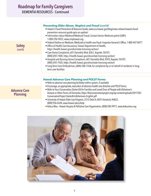|                           | <b>Preventing Elder Abuse, Neglect and Fraud (cont'd)</b><br>• Hawaii's Fraud Prevention & Resource Guide, www.cca.hawaii.gov/blog/news-release-hawaiis-fraud-<br>prevention-resource-guide-gets-an-update/<br>• Information about Medicare/Medicaid Fraud, Contact Senior Medicare patrol (SMP),<br>1-800-296-9422, www.smphawaii.org                                                                                                                                                                                                                                                                                                                                          |
|---------------------------|---------------------------------------------------------------------------------------------------------------------------------------------------------------------------------------------------------------------------------------------------------------------------------------------------------------------------------------------------------------------------------------------------------------------------------------------------------------------------------------------------------------------------------------------------------------------------------------------------------------------------------------------------------------------------------|
| <b>Safety</b><br>(cont'd) | • Federal Hotline on Medicare, Medicaid or health care fraud-Inspector General's Office, 1-800-447-8477<br>• Office of Health Care Assurance, Hawaii Department of Health,<br>https://health.hawaii.gov/ohca/state-licensing-section/<br>• Care Home Complaints, 601 Kamokila Blvd. #361, Kapolei, 96707,<br>(808) 692-7400, https://health.hawaii.gov/ohca/state-licensing-section/<br>. Hospital and Nursing Home Complaints, 601 Kamokila Blvd. #395, Kapolei, 96707,<br>(808) 692-7420, https://health.hawaii.gov/ohca/state-licensing-section/<br>• Long-Term Care Ombudsman, (808) 586-7268, for complaints by or on behalf of residents in long-<br>term care facilities |
|                           | <b>Hawaii Advance Care Planning and POLST Forms:</b><br>• Refer to advance care planning facilitator within system, if available<br>• Encourage, as appropriate, execution of advance health care directive and POLST forms                                                                                                                                                                                                                                                                                                                                                                                                                                                     |

- Refer to Your Conversation Starter Kit for Families and Loved Ones of People with Alzheimer's Disease or Other Forms of Dementia, https://theconversationproject.org/wp-content/uploads/2017/02/ ConversationProject-StarterKit-Alzheimers-English.pdf
- University of Hawaii Elder Law Program, 2515 Dole St. #201 Honolulu 96822, (808) 956-6544, www.hawaii.edu/uhelp
- Kokua Mau Hawaii Hospice & Palliative Care Organization, (808) 585-9977, www.kokuamau.org



#### **Advance Care Planning**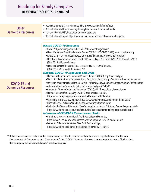## **Roadmap for Family Caregivers** DEMENTIA RESOURCES - Continued

| <b>Other</b><br><b>Dementia Resources</b>        | • Hawaii Alzheimer's Disease Initiative (HADI), www.hawaii.edu/aging/hadi<br>· Dementia Friends Hawaii, www.agefriendlyhonolulu.com/dementia-friends/<br>· Dementia Friends USA, https://dementiafriendsusa.org<br>• Dementia Friends Japan, https://www.alz.co.uk/dementia-friendly-communities/japan                                                                                                                                                                                                                                                                                                                                                                                                                                                                                                                                                            |
|--------------------------------------------------|-------------------------------------------------------------------------------------------------------------------------------------------------------------------------------------------------------------------------------------------------------------------------------------------------------------------------------------------------------------------------------------------------------------------------------------------------------------------------------------------------------------------------------------------------------------------------------------------------------------------------------------------------------------------------------------------------------------------------------------------------------------------------------------------------------------------------------------------------------------------|
|                                                  |                                                                                                                                                                                                                                                                                                                                                                                                                                                                                                                                                                                                                                                                                                                                                                                                                                                                   |
|                                                  | <b>Hawaii COVID-19 Resources</b><br>• Covid-19 Tips for Caregivers, 1-800-272-3900, www.alz.org/hawaii/<br>• Hawaii Aging and Disability Resource Center COVID-19643-ADRC (2372), www.Hawaiiadrc.org<br>• Kokua Mau: A Movement to Improve Care, https://kokuamau.org/covid-19-resources/<br>• Healthcare Association of Hawaii Covid-19 Resource Page, 707 Richards St #PH2, Honolulu 96813<br>(808) 521-8961, www.hah.org<br>· Hawaii Public Health Institute, 850 Richards St #210, Honolulu 96813,<br>(808) 591-6508, www.hiphi.org/covid19/<br><b>National COVID-19 Resources and Links</b><br>• National Alzheimer's and Dementia Resource Center (NADRC), http://nadrc.acl.gov                                                                                                                                                                             |
| <b>COVID-19 and</b><br><b>Dementia Resources</b> | • The National Alzheimer's Project Act Home Page, https://aspe.hhs.gov/national-alzheimers-project-act<br>• University of California San Francisco COVID-19 Memory and Aging Center, https://memory.ucsf.edu/covid<br>• Administration for Community Living (ACL), https://acl.gov/COVID-19<br>• Centers for Disease Control and Prevention (CDC) Covid-19 page, https://www.cdc.gov                                                                                                                                                                                                                                                                                                                                                                                                                                                                              |
|                                                  | . National Alliance for Caregiving Covid-19 Resources For Families,<br>https://www.caregiving.org/resources/covid-19-resources-for-families/<br>• Caregiving In The U.S. 2020 Report, https://www.caregiving.org/caregiving-in-the-us-2020/<br>• Mindset Centre For Living With Dementia, www.mindsetmemory.com<br>• Reducing the Stigma of Dementia: The Conversation on How to Talk About Dementia Appropriately,<br>https://www.dementia.org.au/sites/default/files/resources/dementia-language-guidelines.pdf<br><b>International COVID-19 Resources and Links</b><br>• Alzheimer's Disease International, The Global Voice on Dementia,<br>https://www.alz.co.uk/news/adi-releases-position-paper-on-covid-19-and-dementia<br>· Dementia Alliance International COVID-19 Resource Page,<br>https://www.dementiaallianceinternational.org/covid-19-resources/ |

\*\* If the business is not listed in the Department of Health, check for their business registration in the Hawaii Department of Commerce and Consumer Affairs (DCCA). You can also see if any complaints were filed against the company or individual: https://cca.hawaii.gov/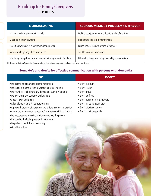## **Roadmap for Family Caregivers** HELPFUL TIPS

**SERIOUS MEMORY PROBLEM (like Alzheimer's)** Making poor judgments and decisions a lot of the time Problems taking care of monthly bills Losing track of the date or time of the year Trouble having a conversation Misplacing things and losing the ability to retrace steps **NORMAL AGING** Making a bad decision once in a while Missing a monthly payment Forgetting which day it is but remembering it later Sometimes forgetting which word to use Misplacing things from time to time and retracing steps to find them

NIH National Institute on Aging (https://www.nia.nih.gov/health/do-memory-problems-always-mean-alzheimers-disease)

#### **Some do's and don'ts for effective communication with persons with dementia**

| <b>DO</b>                                                             | <b>DON'T</b>                    |
|-----------------------------------------------------------------------|---------------------------------|
| • Do use their first name to get their attention                      | • Don't interrupt               |
| • Do speak in a normal tone of voice at a normal volume               | • Don't reason                  |
| • Do your best to eliminate any distractions such a TV or radio       | • Don't arque                   |
| • Do give short, one sentence explanations                            | • Don't confront                |
| • Speak slowly and clearly                                            | • Don't question recent memory  |
| • Allow plenty of time for comprehension                              | • Don't insist, try again later |
| • Agree with them or distract them to a different subject or activity | • Don't criticize or correct    |
| • Accept the blame when something's wrong (even if it's a fantasy)    | • Don't take it personally      |
| • Do encourage reminiscing if it is enjoyable to the person           |                                 |
| • Respond to the feelings rather than the words                       |                                 |
| • Be patient, cheerful, and reassuring                                |                                 |
| • Go with the flow                                                    |                                 |
|                                                                       |                                 |
|                                                                       |                                 |
|                                                                       |                                 |

10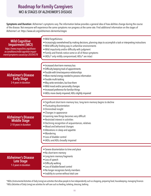## **Roadmap for Family Caregivers** MCI & STAGES OF ALZHEIMER'S DISEASE

**Symptoms and Duration:** Alzheimer's symptoms vary. The information below provides a general idea of how abilities change during the course of the disease. Not everyone will experience the same symptoms nor progress at the same rate. Find additional information on the stages of Alzheimer's at: https://www.alz.org/alzheimers-dementia/stages

| <b>Mild Cognitive</b><br><b>Impairment (MCI)</b><br>https://www.mayoclinic.org/diseas-<br>es-conditions/mild-cognitive-impair-<br>ment/symptoms-causes/syc-20354578 | • Mild forgetfulness<br>• Increasingly overwhelmed by making decisions, planning steps to accomplish a task or interpreting instructions<br>• Mild difficulty finding way in unfamiliar environments<br>• Mild impulsivity and/or difficulty with judgment<br>• Family and friends notice some or all of these symptoms<br>· IADLs* only mildly compromised; ADLs* are intact                                                                                      |
|---------------------------------------------------------------------------------------------------------------------------------------------------------------------|--------------------------------------------------------------------------------------------------------------------------------------------------------------------------------------------------------------------------------------------------------------------------------------------------------------------------------------------------------------------------------------------------------------------------------------------------------------------|
| <b>Alzheimer's Disease</b><br><b>Early Stage</b><br>2-4 years in duration                                                                                           | • Increased short-term memory loss<br>• Difficulty keeping track of appointments<br>• Trouble with time/sequence relationships<br>• More mental energy needed to process information<br>• Trouble multi-tasking<br>• May write reminders, but lose them<br>• Mild mood and/or personality changes<br>• Increased preference for familiar things<br>• IADLs more clearly impaired; ADLs slightly impaired                                                           |
| <b>Alzheimer's Disease</b><br><b>Middle Stage</b><br>2-10 years in duration                                                                                         | • Significant short-term memory loss; long-term memory begins to decline<br>• Fluctuating disorientation<br>· Diminished insight<br>• Changes in appearance<br>• Learning new things becomes very difficult<br>• Restricted interest in activities<br>• Declining recognition of acquaintances, relatives<br>• Mood and behavioral changes<br>• Alterations in sleep and appetite<br>• Wandering<br>• Loss of bladder control<br>• IADLs and ADLs broadly impaired |
| <b>Alzheimer's Disease</b><br>Late Stage<br>1-3 years in duration                                                                                                   | • Severe disorientation to time and place<br>• No short-term memory<br>• Long-term memory fragments<br>• Loss of speech<br>• Difficulty walking<br>· Loss of bladder/bowel control<br>• No longer recognizes family members<br>. Inability to survive without total care                                                                                                                                                                                           |

\*IADLs (Instrumental Activities of Daily Living) are activities that allow people to live independently such as shopping, preparing food, housekeeping, managing finances \*ADLs (Activities of Daily Living) are activities for self-care such as feeding, toileting, dressing, bathing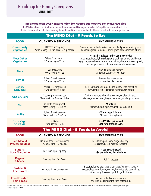#### **Mediterranean-DASH Intervention for Neurodegenerative Delay (MIND) diet**

The MIND diet is a combination of the Mediterranean and Dietary Approaches to Stop Hypertension (DASH) diets. It aims to reduce the risk of developing dementia and improve brain health. Please consult with your physician first.

### The MIND Diet – 9 Foods to Eat

| <b>FOOD</b>                                    | <b>QUANTITY &amp; SERVINGS</b>                                                 | <b>EXAMPLES &amp; TIPS</b>                                                                                                                                                                                                                        |
|------------------------------------------------|--------------------------------------------------------------------------------|---------------------------------------------------------------------------------------------------------------------------------------------------------------------------------------------------------------------------------------------------|
| <b>Green Leafy</b><br><b>Vegetables</b>        | At least 1 serving/day<br>*One serving = 1 cup raw or $\frac{1}{2}$ cup cooked | Spinach, kale, collards, Swiss chard, mustard greens, turnip greens,<br>dandelion greens, arugula, endive, grape leaves, romaine lettuce                                                                                                          |
| <b>Most Other</b><br><b>Vegetables</b>         | At least 1 serving/day<br>*One serving $= \frac{1}{2}$ cup                     | *A salad + at least 1 other veggie everyday<br>Asparaqus, broccoli, brussels sprouts, cabbage, carrots, cauliflower,<br>eggplant, green beans, mushrooms, onions, okra, snow peas, squash,<br>bell peppers, sweet potatoes, tomatoes/tomato sauce |
| <b>Nuts</b>                                    | 5 oz. total/week<br>*One serving $= 1$ oz.                                     | Peanuts, almonds, walnuts,<br>cashews, pistachios, or Nut butter                                                                                                                                                                                  |
| <b>Berries</b>                                 | At least 5 servings/week<br>*One serving $=$ 1/2 cup                           | Blueberries, strawberries,<br>raspberries, blackberries                                                                                                                                                                                           |
| Beans/<br><b>Legumes</b>                       | At least 3 servings/week<br>*One serving $=$ 1/2 cup                           | Black, pinto, cannellini, garbanzo, kidney, lima, red/white,<br>navy, lentils, tofu, edamame, hummus, soy yogurt                                                                                                                                  |
| <b>Whole Grains</b>                            | 3 servings/day, every day<br>*One serving $= 1/2$ cup or 1 slice               | Dark or whole grain bread, brown rice, whole grain pasta,<br>wild rice, quinoa, barley, bulgur, farro, oats, whole grain cereal                                                                                                                   |
| <b>Fish</b>                                    | At least 1 serving/week<br>*One serving $=$ 3 to 5 oz.                         | *Not Fried<br>Salmon, tuna, tilapia, cod, mahi mahi, halibut                                                                                                                                                                                      |
| <b>Poultry</b>                                 | At least 2 servings/week<br>*One serving $=$ 3 to 5 oz.                        | *White meat & Skinless<br>Chicken or turkey breast                                                                                                                                                                                                |
| <b>Extra Virgin</b><br><b>Olive Oil</b>        | 2 TB/day<br>*One serving $= 2$ TB                                              | Use EVOO as primary oil<br><b>Look for Unrefined EVOO</b>                                                                                                                                                                                         |
|                                                | The MIND Diet - 5 Foods to Avoid                                               |                                                                                                                                                                                                                                                   |
| <b>FOOD</b>                                    | <b>QUANTITY &amp; SERVINGS</b>                                                 | <b>EXAMPLES &amp; TIPS</b>                                                                                                                                                                                                                        |
| <b>Red Meat &amp;</b><br><b>Processed Meat</b> | No more than 3 servings/week<br>*One serving $=$ 3 to 5 oz.                    | Beef, lamb, pork, ham, burger, hot dogs,<br>sausages, bacon, roast beef, salami                                                                                                                                                                   |
| <b>Butter &amp;</b><br><b>Stick Margarine</b>  | Less than 1 pat (tsp)/day                                                      | *Use EVOO instead<br>*Smart Balance, Earth Balance                                                                                                                                                                                                |
| Regular<br><b>Cheese</b>                       | No more than 2 oz./week                                                        | <b>Full fat cheeses</b>                                                                                                                                                                                                                           |
| Pastries &<br><b>Other Sweets</b>              | No more than 4 treats/week                                                     | Biscuit/roll, pop tarts, cake, snack cakes/Twinkies, Danish/<br>sweet rolls/pastry, donuts, cookies, brownies, pie, candy bars,<br>other candy, ice cream, pudding, milkshakes                                                                    |
| <b>Fried Foods &amp;</b><br><b>Fast Foods</b>  | No more than 1 meal/week                                                       | Fast food or Fast casual restaurants<br>Any fried foods including fried potato chips                                                                                                                                                              |

Adapted: Morris, MC et al. MIND diet associated with reduced incidence of Alzheimer's disease. Alzheimer's & Dementia; 2015. Lindseth, G. et al., Neurobehavioral Effects of Consuming Dietary Fatty Acids. Biol Res Nurs 2016 Jul 13.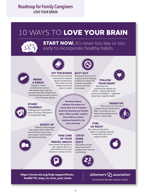## **Roadmap for Family Caregivers** LOVE YOUR BRAIN

# 10 WAYS TO **LOVE YOUR BRAIN**



**START NOW.** It's never too late or too. early to incorporate healthy habits.



decline and dementia. Take a class at a local

center or online.

#### **BREAK A SWEAT**

**STUMP YOURSELF** 

college, community Engage in regular cardiovascular exercise that elevates heart rate and increases blood flow. Studies have found that physical activity reduces risk of cognitive decline.

Challenge your mind. Build a piece of furniture. Play games of strategy, like bridge.

Staying socially engaged may support brain health. Find ways to be part of your local community or share activities with friends and family.



**HIT THE BOOKS** Formal education will help reduce risk of cognitive **BUTT OUT**  Smoking increases risk of

cognitive decline. Quitting smoking can reduce risk to levels comparable to those who have not smoked.



#### **FOLLOW YOUR HEART**  Risk factors for cardiovascular disease and

Proposed:<br>
and<br>
dies have discussed and stroke – obesity<br>
reduces<br>
the reduces of the contract volume of the contract volume of the contract volume of the contract volume of the<br>
impact volume contract volume of the contra stroke – obesity, high blood pressure and diabetes – negatively impact your cognitive health.



#### **HEADS UP!**

Brain injury can raise risk of cognitive decline and dementia. Wear a seat belt and use a helmet when playing contact sports or riding a bike.

#### **FUEL UP RIGHT**

Eat a balanced diet that is higher in vegetables and fruit to help reduce the risk of cognitive decline.





#### **TAKE CARE OF YOUR**

#### **MENTAL HEALTH**

**BUDDY UP** brain and body.

Some studies link depression with cognitive decline, so seek treatment if you have depression, anxiety or stress.



**CATCH SOME ZZZ'S**

**indicates that people can** 

**Growing evidence** 

**reduce their risk of cognitive decline by adopting key lifestyle habits. When possible, combine these habits to achieve maximum benefit for the** 

> Not getting enough sleep may result in

problems with memory and thinking.



#### **https://www.alz.org/help-support/brain\_ health/10\_ways\_to\_love\_your\_brain**

alzheimer's  $\bigvee$  association<sup>®</sup>

THE BRAINS BEHIND SAVING YOURS: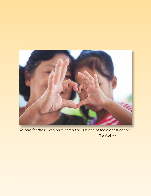

*To care for those who once cared for us is one of the highest honors.* - Tia Walker